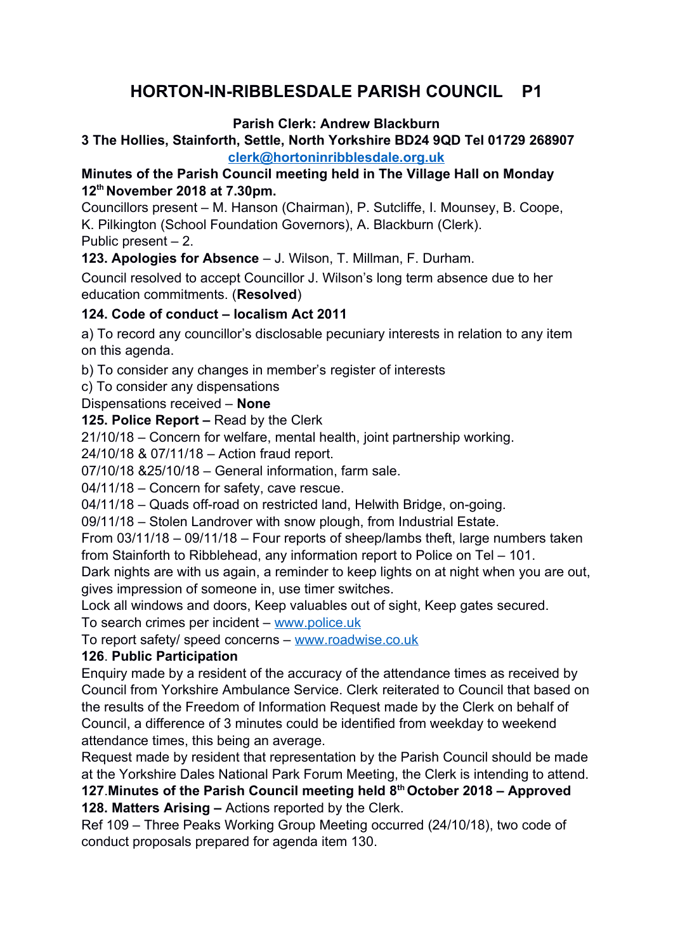# **HORTON-IN-RIBBLESDALE PARISH COUNCIL P1**

#### **Parish Clerk: Andrew Blackburn**

### **3 The Hollies, Stainforth, Settle, North Yorkshire BD24 9QD Tel 01729 268907 [clerk@hortoninribblesdale.org.uk](mailto:clerk@hortoninribblesdale.org.uk)**

# **Minutes of the Parish Council meeting held in The Village Hall on Monday 12th November 2018 at 7.30pm.**

Councillors present – M. Hanson (Chairman), P. Sutcliffe, I. Mounsey, B. Coope, K. Pilkington (School Foundation Governors), A. Blackburn (Clerk). Public present – 2.

**123. Apologies for Absence** – J. Wilson, T. Millman, F. Durham.

Council resolved to accept Councillor J. Wilson's long term absence due to her education commitments. (**Resolved**)

# **124. Code of conduct – localism Act 2011**

a) To record any councillor's disclosable pecuniary interests in relation to any item on this agenda.

b) To consider any changes in member's register of interests

c) To consider any dispensations

Dispensations received – **None** 

**125. Police Report –** Read by the Clerk

21/10/18 – Concern for welfare, mental health, joint partnership working.

24/10/18 & 07/11/18 – Action fraud report.

07/10/18 &25/10/18 – General information, farm sale.

04/11/18 – Concern for safety, cave rescue.

04/11/18 – Quads off-road on restricted land, Helwith Bridge, on-going.

09/11/18 – Stolen Landrover with snow plough, from Industrial Estate.

From 03/11/18 – 09/11/18 – Four reports of sheep/lambs theft, large numbers taken from Stainforth to Ribblehead, any information report to Police on Tel – 101.

Dark nights are with us again, a reminder to keep lights on at night when you are out, gives impression of someone in, use timer switches.

Lock all windows and doors, Keep valuables out of sight, Keep gates secured.

To search crimes per incident – [www.police.uk](http://www.police.uk/)

To report safety/ speed concerns – [www.roadwise.co.uk](http://www.roadwise.co.uk/)

# **126**. **Public Participation**

Enquiry made by a resident of the accuracy of the attendance times as received by Council from Yorkshire Ambulance Service. Clerk reiterated to Council that based on the results of the Freedom of Information Request made by the Clerk on behalf of Council, a difference of 3 minutes could be identified from weekday to weekend attendance times, this being an average.

Request made by resident that representation by the Parish Council should be made at the Yorkshire Dales National Park Forum Meeting, the Clerk is intending to attend.

**127**.**Minutes of the Parish Council meeting held 8th October 2018 – Approved 128. Matters Arising –** Actions reported by the Clerk.

Ref 109 – Three Peaks Working Group Meeting occurred (24/10/18), two code of conduct proposals prepared for agenda item 130.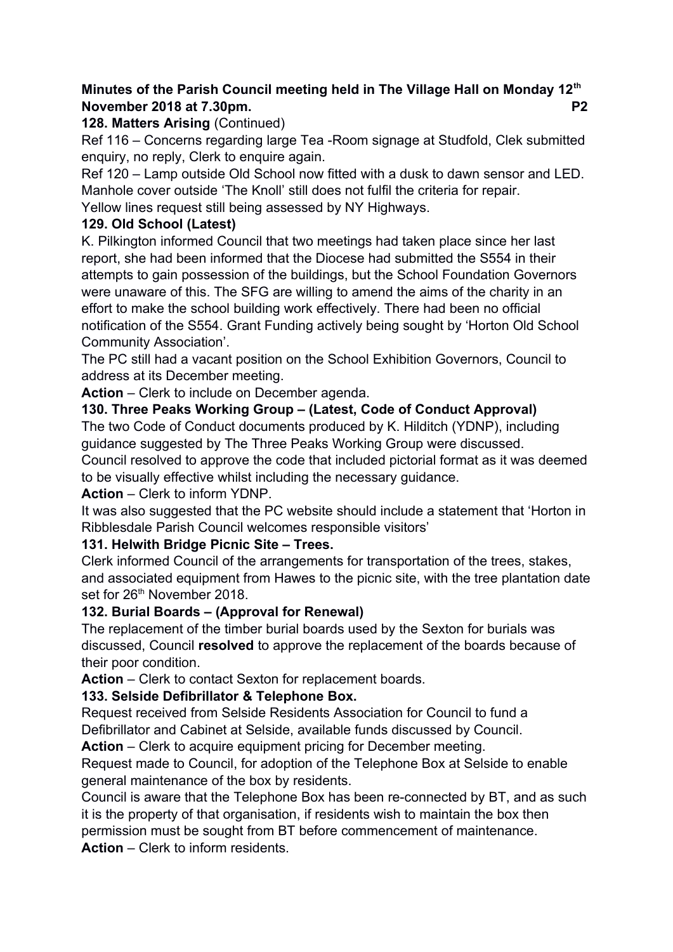# **Minutes of the Parish Council meeting held in The Village Hall on Monday 12th November 2018 at 7.30pm.** P2

### **128. Matters Arising** (Continued)

Ref 116 – Concerns regarding large Tea -Room signage at Studfold, Clek submitted enquiry, no reply, Clerk to enquire again.

Ref 120 – Lamp outside Old School now fitted with a dusk to dawn sensor and LED. Manhole cover outside 'The Knoll' still does not fulfil the criteria for repair. Yellow lines request still being assessed by NY Highways.

# **129. Old School (Latest)**

K. Pilkington informed Council that two meetings had taken place since her last report, she had been informed that the Diocese had submitted the S554 in their attempts to gain possession of the buildings, but the School Foundation Governors were unaware of this. The SFG are willing to amend the aims of the charity in an effort to make the school building work effectively. There had been no official notification of the S554. Grant Funding actively being sought by 'Horton Old School Community Association'.

The PC still had a vacant position on the School Exhibition Governors, Council to address at its December meeting.

**Action** – Clerk to include on December agenda.

### **130. Three Peaks Working Group – (Latest, Code of Conduct Approval)**

The two Code of Conduct documents produced by K. Hilditch (YDNP), including guidance suggested by The Three Peaks Working Group were discussed. Council resolved to approve the code that included pictorial format as it was deemed

to be visually effective whilst including the necessary guidance.

#### **Action** – Clerk to inform YDNP.

It was also suggested that the PC website should include a statement that 'Horton in Ribblesdale Parish Council welcomes responsible visitors'

# **131. Helwith Bridge Picnic Site – Trees.**

Clerk informed Council of the arrangements for transportation of the trees, stakes, and associated equipment from Hawes to the picnic site, with the tree plantation date set for 26<sup>th</sup> November 2018.

#### **132. Burial Boards – (Approval for Renewal)**

The replacement of the timber burial boards used by the Sexton for burials was discussed, Council **resolved** to approve the replacement of the boards because of their poor condition.

**Action** – Clerk to contact Sexton for replacement boards.

# **133. Selside Defibrillator & Telephone Box.**

Request received from Selside Residents Association for Council to fund a Defibrillator and Cabinet at Selside, available funds discussed by Council.

**Action** – Clerk to acquire equipment pricing for December meeting.

Request made to Council, for adoption of the Telephone Box at Selside to enable general maintenance of the box by residents.

Council is aware that the Telephone Box has been re-connected by BT, and as such it is the property of that organisation, if residents wish to maintain the box then permission must be sought from BT before commencement of maintenance.

**Action** – Clerk to inform residents.